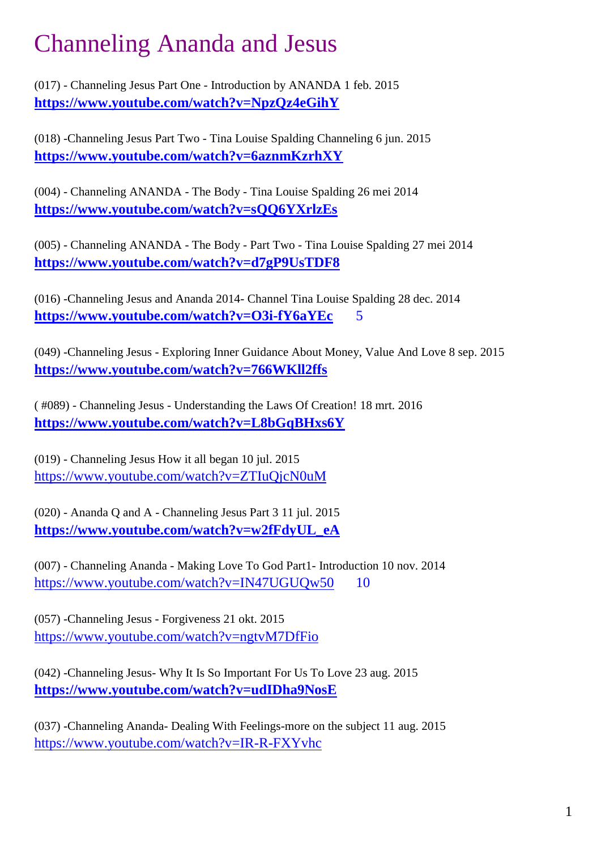# Channeling Ananda and Jesus

(017) - Channeling Jesus Part One - Introduction by ANANDA 1 feb. 2015 **<https://www.youtube.com/watch?v=NpzQz4eGihY>**

(018) -Channeling Jesus Part Two - Tina Louise Spalding Channeling 6 jun. 2015 **<https://www.youtube.com/watch?v=6aznmKzrhXY>**

(004) - Channeling ANANDA - The Body - Tina Louise Spalding 26 mei 2014 **<https://www.youtube.com/watch?v=sQQ6YXrlzEs>**

(005) - Channeling ANANDA - The Body - Part Two - Tina Louise Spalding 27 mei 2014 **<https://www.youtube.com/watch?v=d7gP9UsTDF8>**

(016) -Channeling Jesus and Ananda 2014- Channel Tina Louise Spalding 28 dec. 2014 **<https://www.youtube.com/watch?v=O3i-fY6aYEc>** 5

(049) -Channeling Jesus - Exploring Inner Guidance About Money, Value And Love 8 sep. 2015 **<https://www.youtube.com/watch?v=766WKll2ffs>**

( #089) - Channeling Jesus - Understanding the Laws Of Creation! 18 mrt. 2016 **<https://www.youtube.com/watch?v=L8bGqBHxs6Y>**

(019) - Channeling Jesus How it all began 10 jul. 2015 <https://www.youtube.com/watch?v=ZTIuQjcN0uM>

(020) - Ananda Q and A - Channeling Jesus Part 3 11 jul. 2015 **[https://www.youtube.com/watch?v=w2fFdyUL\\_eA](https://www.youtube.com/watch?v=w2fFdyUL_eA)**

(007) - Channeling Ananda - Making Love To God Part1- Introduction 10 nov. 2014 https://www.youtube.com/watch?v=IN47UGUOw50 10

(057) -Channeling Jesus - Forgiveness 21 okt. 2015 <https://www.youtube.com/watch?v=ngtvM7DfFio>

(042) -Channeling Jesus- Why It Is So Important For Us To Love 23 aug. 2015 **<https://www.youtube.com/watch?v=udIDha9NosE>**

(037) -Channeling Ananda- Dealing With Feelings-more on the subject 11 aug. 2015 <https://www.youtube.com/watch?v=IR-R-FXYvhc>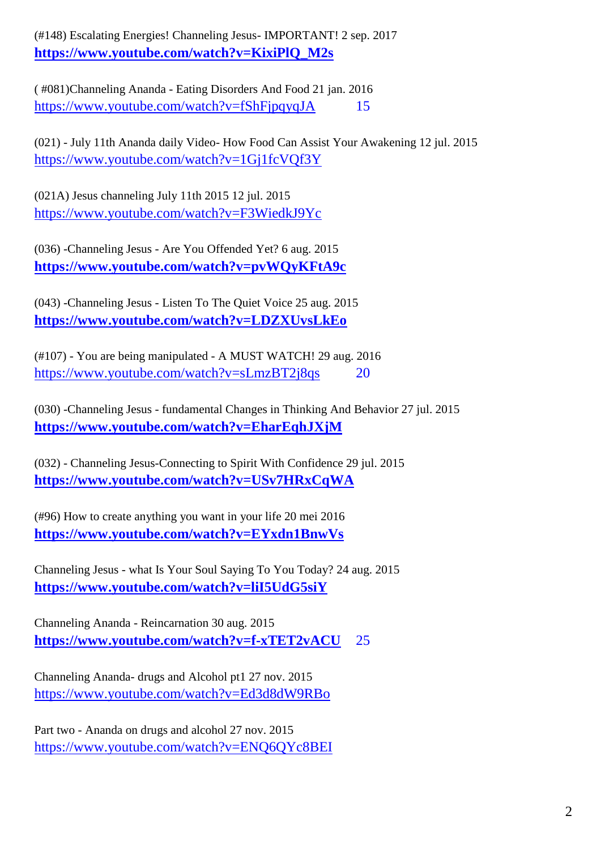(#148) Escalating Energies! Channeling Jesus- IMPORTANT! 2 sep. 2017 **[https://www.youtube.com/watch?v=KixiPlQ\\_M2s](https://www.youtube.com/watch?v=KixiPlQ_M2s)**

( #081)Channeling Ananda - Eating Disorders And Food 21 jan. 2016 https://www.youtube.com/watch?v=fShFipqyqJA 15

(021) - July 11th Ananda daily Video- How Food Can Assist Your Awakening 12 jul. 2015 <https://www.youtube.com/watch?v=1Gj1fcVQf3Y>

(021A) Jesus channeling July 11th 2015 12 jul. 2015 <https://www.youtube.com/watch?v=F3WiedkJ9Yc>

(036) -Channeling Jesus - Are You Offended Yet? 6 aug. 2015 **<https://www.youtube.com/watch?v=pvWQyKFtA9c>**

(043) -Channeling Jesus - Listen To The Quiet Voice 25 aug. 2015 **<https://www.youtube.com/watch?v=LDZXUvsLkEo>**

(#107) - You are being manipulated - A MUST WATCH! 29 aug. 2016 <https://www.youtube.com/watch?v=sLmzBT2j8qs> 20

(030) -Channeling Jesus - fundamental Changes in Thinking And Behavior 27 jul. 2015 **<https://www.youtube.com/watch?v=EharEqhJXjM>**

(032) - Channeling Jesus-Connecting to Spirit With Confidence 29 jul. 2015 **<https://www.youtube.com/watch?v=USv7HRxCqWA>**

(#96) How to create anything you want in your life 20 mei 2016 **<https://www.youtube.com/watch?v=EYxdn1BnwVs>**

Channeling Jesus - what Is Your Soul Saying To You Today? 24 aug. 2015 **<https://www.youtube.com/watch?v=liI5UdG5siY>**

Channeling Ananda - Reincarnation 30 aug. 2015 **<https://www.youtube.com/watch?v=f-xTET2vACU>** 25

Channeling Ananda- drugs and Alcohol pt1 27 nov. 2015 <https://www.youtube.com/watch?v=Ed3d8dW9RBo>

Part two - Ananda on drugs and alcohol 27 nov. 2015 <https://www.youtube.com/watch?v=ENQ6QYc8BEI>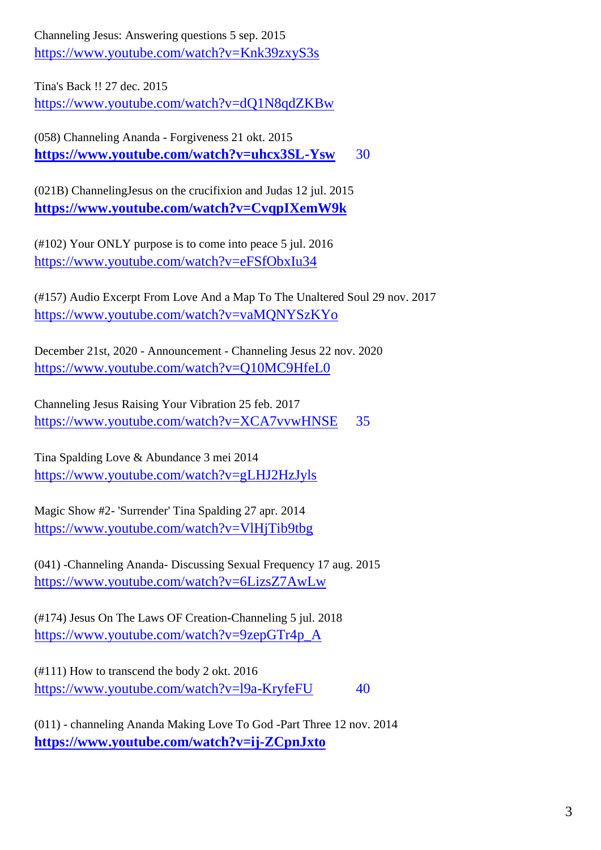Channeling Jesus: Answering questions 5 sep. 2015 <https://www.youtube.com/watch?v=Knk39zxyS3s>

Tina's Back !! 27 dec. 2015

<https://www.youtube.com/watch?v=dQ1N8qdZKBw>

(058) Channeling Ananda - Forgiveness 21 okt. 2015 **<https://www.youtube.com/watch?v=uhcx3SL-Ysw>** 30

(021B) ChannelingJesus on the crucifixion and Judas 12 jul. 2015 **<https://www.youtube.com/watch?v=CvqpIXemW9k>**

(#102) Your ONLY purpose is to come into peace 5 jul. 2016 <https://www.youtube.com/watch?v=eFSfObxIu34>

(#157) Audio Excerpt From Love And a Map To The Unaltered Soul 29 nov. 2017 <https://www.youtube.com/watch?v=vaMQNYSzKYo>

December 21st, 2020 - Announcement - Channeling Jesus 22 nov. 2020 <https://www.youtube.com/watch?v=Q10MC9HfeL0>

Channeling Jesus Raising Your Vibration 25 feb. 2017 <https://www.youtube.com/watch?v=XCA7vvwHNSE> 35

Tina Spalding Love & Abundance 3 mei 2014 <https://www.youtube.com/watch?v=gLHJ2HzJyls>

Magic Show #2- 'Surrender' Tina Spalding 27 apr. 2014 <https://www.youtube.com/watch?v=VlHjTib9tbg>

(041) -Channeling Ananda- Discussing Sexual Frequency 17 aug. 2015 <https://www.youtube.com/watch?v=6LizsZ7AwLw>

(#174) Jesus On The Laws OF Creation-Channeling 5 jul. 2018 [https://www.youtube.com/watch?v=9zepGTr4p\\_A](https://www.youtube.com/watch?v=9zepGTr4p_A)

(#111) How to transcend the body 2 okt. 2016 <https://www.youtube.com/watch?v=l9a-KryfeFU> 40

(011) - channeling Ananda Making Love To God -Part Three 12 nov. 2014 **<https://www.youtube.com/watch?v=ij-ZCpnJxto>**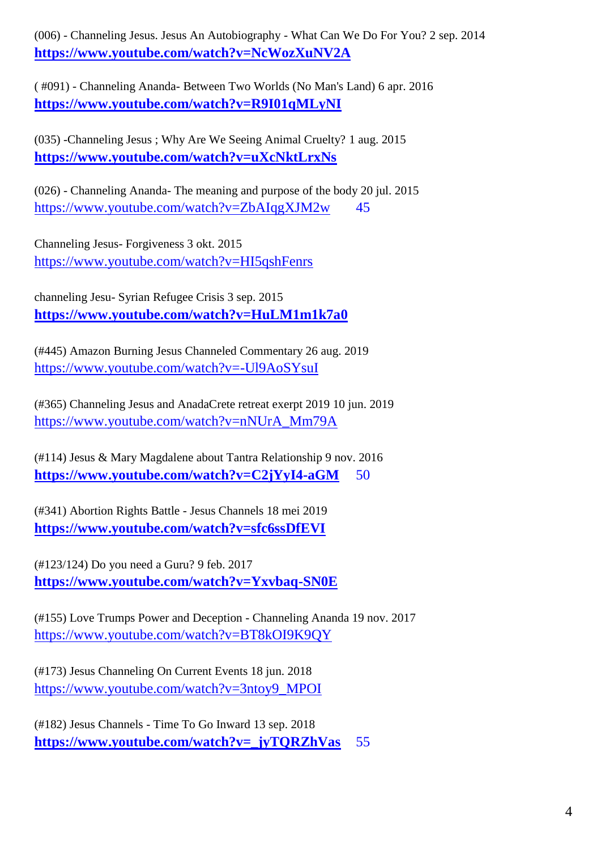(006) - Channeling Jesus. Jesus An Autobiography - What Can We Do For You? 2 sep. 2014 **<https://www.youtube.com/watch?v=NcWozXuNV2A>**

( #091) - Channeling Ananda- Between Two Worlds (No Man's Land) 6 apr. 2016 **<https://www.youtube.com/watch?v=R9I01qMLyNI>**

(035) -Channeling Jesus ; Why Are We Seeing Animal Cruelty? 1 aug. 2015 **<https://www.youtube.com/watch?v=uXcNktLrxNs>**

(026) - Channeling Ananda- The meaning and purpose of the body 20 jul. 2015 <https://www.youtube.com/watch?v=ZbAIqgXJM2w> 45

Channeling Jesus- Forgiveness 3 okt. 2015 <https://www.youtube.com/watch?v=HI5qshFenrs>

channeling Jesu- Syrian Refugee Crisis 3 sep. 2015 **<https://www.youtube.com/watch?v=HuLM1m1k7a0>**

(#445) Amazon Burning Jesus Channeled Commentary 26 aug. 2019 <https://www.youtube.com/watch?v=-Ul9AoSYsuI>

(#365) Channeling Jesus and AnadaCrete retreat exerpt 2019 10 jun. 2019 [https://www.youtube.com/watch?v=nNUrA\\_Mm79A](https://www.youtube.com/watch?v=nNUrA_Mm79A)

(#114) Jesus & Mary Magdalene about Tantra Relationship 9 nov. 2016 **<https://www.youtube.com/watch?v=C2jYyI4-aGM>** 50

(#341) Abortion Rights Battle - Jesus Channels 18 mei 2019 **<https://www.youtube.com/watch?v=sfc6ssDfEVI>**

(#123/124) Do you need a Guru? 9 feb. 2017 **<https://www.youtube.com/watch?v=Yxvbaq-SN0E>**

(#155) Love Trumps Power and Deception - Channeling Ananda 19 nov. 2017 <https://www.youtube.com/watch?v=BT8kOI9K9QY>

(#173) Jesus Channeling On Current Events 18 jun. 2018 [https://www.youtube.com/watch?v=3ntoy9\\_MPOI](https://www.youtube.com/watch?v=3ntoy9_MPOI)

(#182) Jesus Channels - Time To Go Inward 13 sep. 2018 **[https://www.youtube.com/watch?v=\\_jyTQRZhVas](https://www.youtube.com/watch?v=_jyTQRZhVas)** 55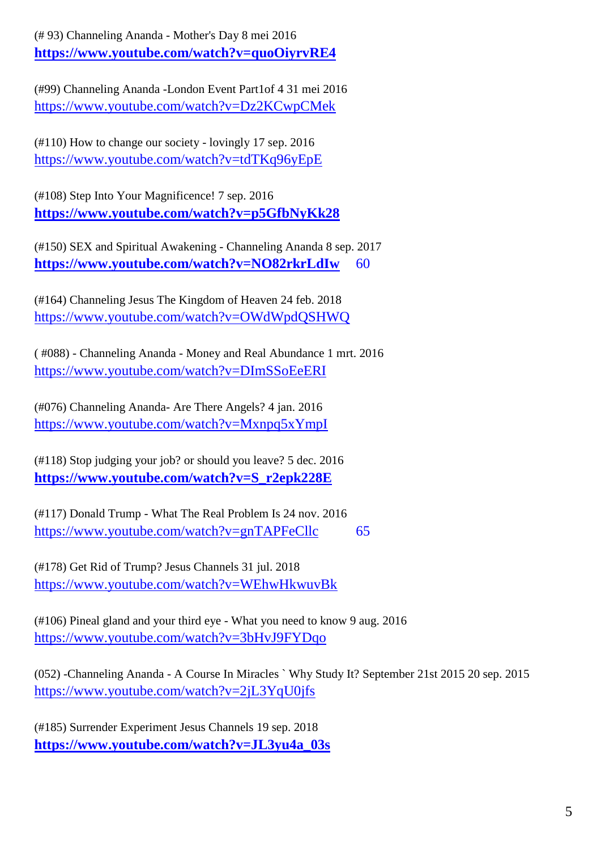(# 93) Channeling Ananda - Mother's Day 8 mei 2016 **<https://www.youtube.com/watch?v=quoOiyrvRE4>**

(#99) Channeling Ananda -London Event Part1of 4 31 mei 2016 <https://www.youtube.com/watch?v=Dz2KCwpCMek>

(#110) How to change our society - lovingly 17 sep. 2016 <https://www.youtube.com/watch?v=tdTKq96yEpE>

(#108) Step Into Your Magnificence! 7 sep. 2016 **<https://www.youtube.com/watch?v=p5GfbNyKk28>**

(#150) SEX and Spiritual Awakening - Channeling Ananda 8 sep. 2017 **<https://www.youtube.com/watch?v=NO82rkrLdIw>** 60

(#164) Channeling Jesus The Kingdom of Heaven 24 feb. 2018 <https://www.youtube.com/watch?v=OWdWpdQSHWQ>

( #088) - Channeling Ananda - Money and Real Abundance 1 mrt. 2016 <https://www.youtube.com/watch?v=DImSSoEeERI>

(#076) Channeling Ananda- Are There Angels? 4 jan. 2016 <https://www.youtube.com/watch?v=Mxnpq5xYmpI>

(#118) Stop judging your job? or should you leave? 5 dec. 2016 **[https://www.youtube.com/watch?v=S\\_r2epk228E](https://www.youtube.com/watch?v=S_r2epk228E)**

(#117) Donald Trump - What The Real Problem Is 24 nov. 2016 <https://www.youtube.com/watch?v=gnTAPFeCllc> 65

(#178) Get Rid of Trump? Jesus Channels 31 jul. 2018 <https://www.youtube.com/watch?v=WEhwHkwuvBk>

(#106) Pineal gland and your third eye - What you need to know 9 aug. 2016 <https://www.youtube.com/watch?v=3bHvJ9FYDqo>

(052) -Channeling Ananda - A Course In Miracles ` Why Study It? September 21st 2015 20 sep. 2015 <https://www.youtube.com/watch?v=2jL3YqU0jfs>

(#185) Surrender Experiment Jesus Channels 19 sep. 2018 **[https://www.youtube.com/watch?v=JL3yu4a\\_03s](https://www.youtube.com/watch?v=JL3yu4a_03s)**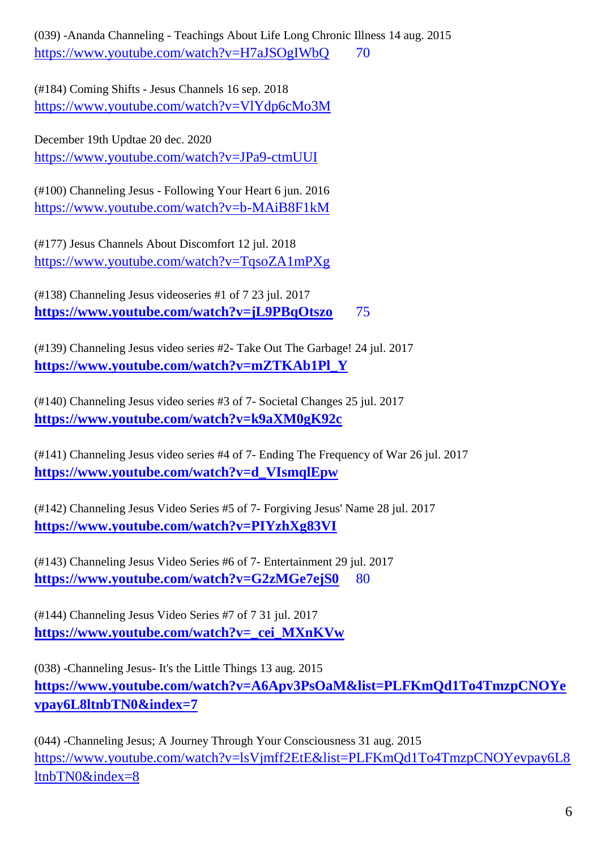(039) -Ananda Channeling - Teachings About Life Long Chronic Illness 14 aug. 2015 https://www.youtube.com/watch?v=H7aJSOgIWbO 70

(#184) Coming Shifts - Jesus Channels 16 sep. 2018 <https://www.youtube.com/watch?v=VlYdp6cMo3M>

December 19th Updtae 20 dec. 2020 <https://www.youtube.com/watch?v=JPa9-ctmUUI>

(#100) Channeling Jesus - Following Your Heart 6 jun. 2016 <https://www.youtube.com/watch?v=b-MAiB8F1kM>

(#177) Jesus Channels About Discomfort 12 jul. 2018 <https://www.youtube.com/watch?v=TqsoZA1mPXg>

(#138) Channeling Jesus videoseries #1 of 7 23 jul. 2017 **<https://www.youtube.com/watch?v=jL9PBqOtszo>** 75

(#139) Channeling Jesus video series #2- Take Out The Garbage! 24 jul. 2017 **[https://www.youtube.com/watch?v=mZTKAb1Pl\\_Y](https://www.youtube.com/watch?v=mZTKAb1Pl_Y)**

(#140) Channeling Jesus video series #3 of 7- Societal Changes 25 jul. 2017 **<https://www.youtube.com/watch?v=k9aXM0gK92c>**

(#141) Channeling Jesus video series #4 of 7- Ending The Frequency of War 26 jul. 2017 **[https://www.youtube.com/watch?v=d\\_VIsmqlEpw](https://www.youtube.com/watch?v=d_VIsmqlEpw)**

(#142) Channeling Jesus Video Series #5 of 7- Forgiving Jesus' Name 28 jul. 2017 **<https://www.youtube.com/watch?v=PIYzhXg83VI>**

(#143) Channeling Jesus Video Series #6 of 7- Entertainment 29 jul. 2017 <https://www.youtube.com/watch?v=G2zMGe7ejS0> 80

(#144) Channeling Jesus Video Series #7 of 7 31 jul. 2017 **[https://www.youtube.com/watch?v=\\_cei\\_MXnKVw](https://www.youtube.com/watch?v=_cei_MXnKVw)**

(038) -Channeling Jesus- It's the Little Things 13 aug. 2015 **[https://www.youtube.com/watch?v=A6Apv3PsOaM&list=PLFKmQd1To4TmzpCNOYe](https://www.youtube.com/watch?v=A6Apv3PsOaM&list=PLFKmQd1To4TmzpCNOYevpay6L8ltnbTN0&index=7) [vpay6L8ltnbTN0&index=7](https://www.youtube.com/watch?v=A6Apv3PsOaM&list=PLFKmQd1To4TmzpCNOYevpay6L8ltnbTN0&index=7)**

(044) -Channeling Jesus; A Journey Through Your Consciousness 31 aug. 2015 [https://www.youtube.com/watch?v=lsVjmff2EtE&list=PLFKmQd1To4TmzpCNOYevpay6L8](https://www.youtube.com/watch?v=lsVjmff2EtE&list=PLFKmQd1To4TmzpCNOYevpay6L8ltnbTN0&index=8) [ltnbTN0&index=8](https://www.youtube.com/watch?v=lsVjmff2EtE&list=PLFKmQd1To4TmzpCNOYevpay6L8ltnbTN0&index=8)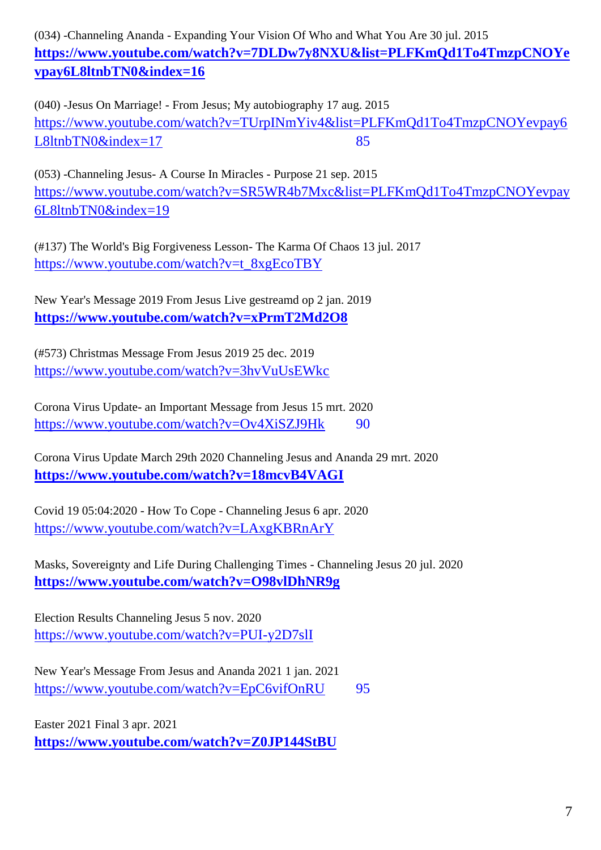(034) -Channeling Ananda - Expanding Your Vision Of Who and What You Are 30 jul. 2015 **[https://www.youtube.com/watch?v=7DLDw7y8NXU&list=PLFKmQd1To4TmzpCNOYe](https://www.youtube.com/watch?v=7DLDw7y8NXU&list=PLFKmQd1To4TmzpCNOYevpay6L8ltnbTN0&index=16) [vpay6L8ltnbTN0&index=16](https://www.youtube.com/watch?v=7DLDw7y8NXU&list=PLFKmQd1To4TmzpCNOYevpay6L8ltnbTN0&index=16)**

(040) -Jesus On Marriage! - From Jesus; My autobiography 17 aug. 2015 [https://www.youtube.com/watch?v=TUrpINmYiv4&list=PLFKmQd1To4TmzpCNOYevpay6](https://www.youtube.com/watch?v=TUrpINmYiv4&list=PLFKmQd1To4TmzpCNOYevpay6L8ltnbTN0&index=17) [L8ltnbTN0&index=17](https://www.youtube.com/watch?v=TUrpINmYiv4&list=PLFKmQd1To4TmzpCNOYevpay6L8ltnbTN0&index=17) 85

(053) -Channeling Jesus- A Course In Miracles - Purpose 21 sep. 2015 [https://www.youtube.com/watch?v=SR5WR4b7Mxc&list=PLFKmQd1To4TmzpCNOYevpay](https://www.youtube.com/watch?v=SR5WR4b7Mxc&list=PLFKmQd1To4TmzpCNOYevpay6L8ltnbTN0&index=19) [6L8ltnbTN0&index=19](https://www.youtube.com/watch?v=SR5WR4b7Mxc&list=PLFKmQd1To4TmzpCNOYevpay6L8ltnbTN0&index=19)

(#137) The World's Big Forgiveness Lesson- The Karma Of Chaos 13 jul. 2017 [https://www.youtube.com/watch?v=t\\_8xgEcoTBY](https://www.youtube.com/watch?v=t_8xgEcoTBY)

New Year's Message 2019 From Jesus Live gestreamd op 2 jan. 2019 **<https://www.youtube.com/watch?v=xPrmT2Md2O8>**

(#573) Christmas Message From Jesus 2019 25 dec. 2019 <https://www.youtube.com/watch?v=3hvVuUsEWkc>

Corona Virus Update- an Important Message from Jesus 15 mrt. 2020 <https://www.youtube.com/watch?v=Ov4XiSZJ9Hk> 90

Corona Virus Update March 29th 2020 Channeling Jesus and Ananda 29 mrt. 2020 **<https://www.youtube.com/watch?v=18mcvB4VAGI>**

Covid 19 05:04:2020 - How To Cope - Channeling Jesus 6 apr. 2020 <https://www.youtube.com/watch?v=LAxgKBRnArY>

Masks, Sovereignty and Life During Challenging Times - Channeling Jesus 20 jul. 2020 **<https://www.youtube.com/watch?v=O98vlDhNR9g>**

Election Results Channeling Jesus 5 nov. 2020 <https://www.youtube.com/watch?v=PUI-y2D7slI>

New Year's Message From Jesus and Ananda 2021 1 jan. 2021 <https://www.youtube.com/watch?v=EpC6vifOnRU> 95

Easter 2021 Final 3 apr. 2021 **<https://www.youtube.com/watch?v=Z0JP144StBU>**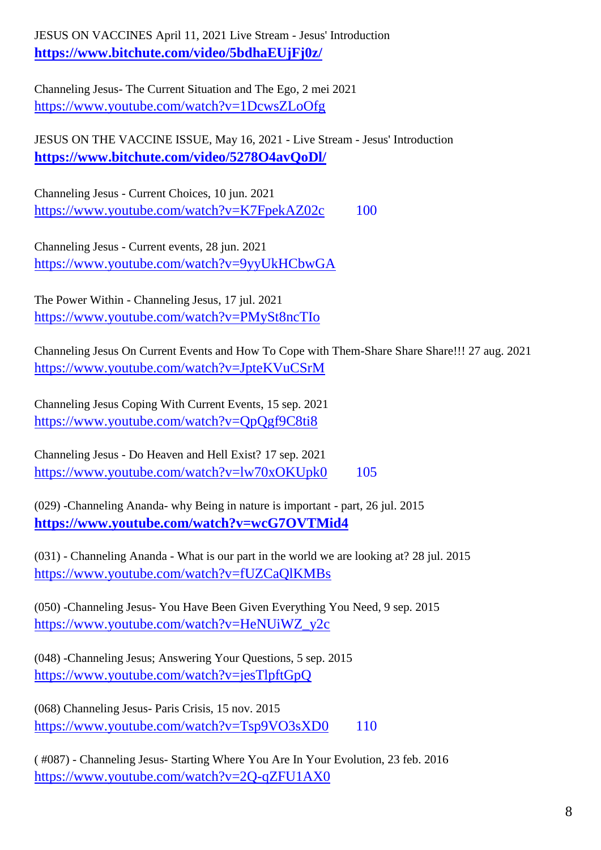JESUS ON VACCINES April 11, 2021 Live Stream - Jesus' Introduction **<https://www.bitchute.com/video/5bdhaEUjFj0z/>**

Channeling Jesus- The Current Situation and The Ego, 2 mei 2021 <https://www.youtube.com/watch?v=1DcwsZLoOfg>

JESUS ON THE VACCINE ISSUE, May 16, 2021 - Live Stream - Jesus' Introduction **<https://www.bitchute.com/video/5278O4avQoDl/>**

Channeling Jesus - Current Choices, 10 jun. 2021 <https://www.youtube.com/watch?v=K7FpekAZ02c> 100

Channeling Jesus - Current events, 28 jun. 2021 <https://www.youtube.com/watch?v=9yyUkHCbwGA>

The Power Within - Channeling Jesus, 17 jul. 2021 <https://www.youtube.com/watch?v=PMySt8ncTIo>

Channeling Jesus On Current Events and How To Cope with Them-Share Share Share!!! 27 aug. 2021 <https://www.youtube.com/watch?v=JpteKVuCSrM>

Channeling Jesus Coping With Current Events, 15 sep. 2021 <https://www.youtube.com/watch?v=QpQgf9C8ti8>

Channeling Jesus - Do Heaven and Hell Exist? 17 sep. 2021 <https://www.youtube.com/watch?v=lw70xOKUpk0> 105

(029) -Channeling Ananda- why Being in nature is important - part, 26 jul. 2015 **<https://www.youtube.com/watch?v=wcG7OVTMid4>**

(031) - Channeling Ananda - What is our part in the world we are looking at? 28 jul. 2015 <https://www.youtube.com/watch?v=fUZCaQlKMBs>

(050) -Channeling Jesus- You Have Been Given Everything You Need, 9 sep. 2015 [https://www.youtube.com/watch?v=HeNUiWZ\\_y2c](https://www.youtube.com/watch?v=HeNUiWZ_y2c)

(048) -Channeling Jesus; Answering Your Questions, 5 sep. 2015 <https://www.youtube.com/watch?v=jesTlpftGpQ>

(068) Channeling Jesus- Paris Crisis, 15 nov. 2015 <https://www.youtube.com/watch?v=Tsp9VO3sXD0> 110

( #087) - Channeling Jesus- Starting Where You Are In Your Evolution, 23 feb. 2016 <https://www.youtube.com/watch?v=2Q-qZFU1AX0>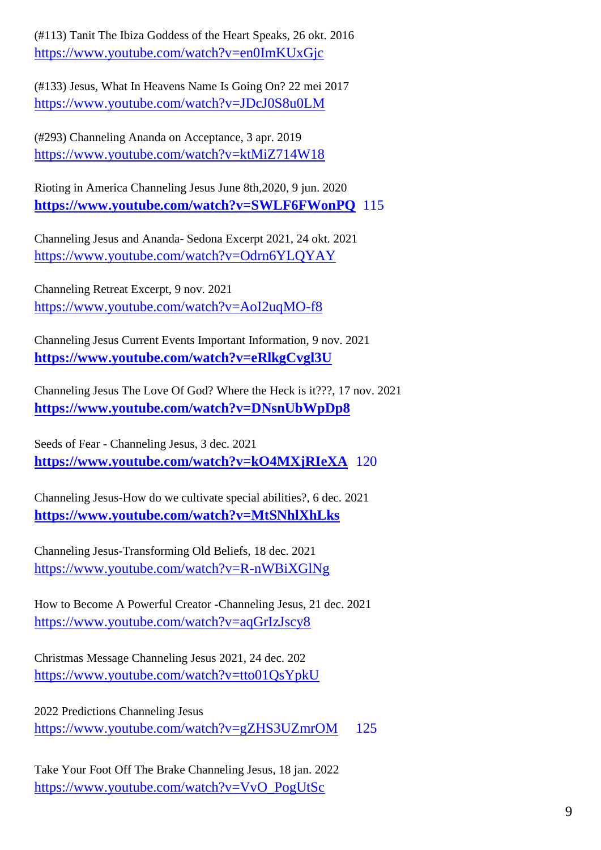(#113) Tanit The Ibiza Goddess of the Heart Speaks, 26 okt. 2016 <https://www.youtube.com/watch?v=en0ImKUxGjc>

(#133) Jesus, What In Heavens Name Is Going On? 22 mei 2017 <https://www.youtube.com/watch?v=JDcJ0S8u0LM>

(#293) Channeling Ananda on Acceptance, 3 apr. 2019 <https://www.youtube.com/watch?v=ktMiZ714W18>

Rioting in America Channeling Jesus June 8th,2020, 9 jun. 2020 **<https://www.youtube.com/watch?v=SWLF6FWonPQ>** 115

Channeling Jesus and Ananda- Sedona Excerpt 2021, 24 okt. 2021 <https://www.youtube.com/watch?v=Odrn6YLQYAY>

Channeling Retreat Excerpt, 9 nov. 2021 <https://www.youtube.com/watch?v=AoI2uqMO-f8>

Channeling Jesus Current Events Important Information, 9 nov. 2021 **<https://www.youtube.com/watch?v=eRlkgCvgl3U>**

Channeling Jesus The Love Of God? Where the Heck is it???, 17 nov. 2021 **<https://www.youtube.com/watch?v=DNsnUbWpDp8>**

Seeds of Fear - Channeling Jesus, 3 dec. 2021 **<https://www.youtube.com/watch?v=kO4MXjRIeXA>** 120

Channeling Jesus-How do we cultivate special abilities?, 6 dec. 2021 **<https://www.youtube.com/watch?v=MtSNhlXhLks>**

Channeling Jesus-Transforming Old Beliefs, 18 dec. 2021 <https://www.youtube.com/watch?v=R-nWBiXGlNg>

How to Become A Powerful Creator -Channeling Jesus, 21 dec. 2021 <https://www.youtube.com/watch?v=aqGrIzJscy8>

Christmas Message Channeling Jesus 2021, 24 dec. 202 <https://www.youtube.com/watch?v=tto01QsYpkU>

2022 Predictions Channeling Jesus <https://www.youtube.com/watch?v=gZHS3UZmrOM> 125

Take Your Foot Off The Brake Channeling Jesus, 18 jan. 2022 [https://www.youtube.com/watch?v=VvO\\_PogUtSc](https://www.youtube.com/watch?v=VvO_PogUtSc)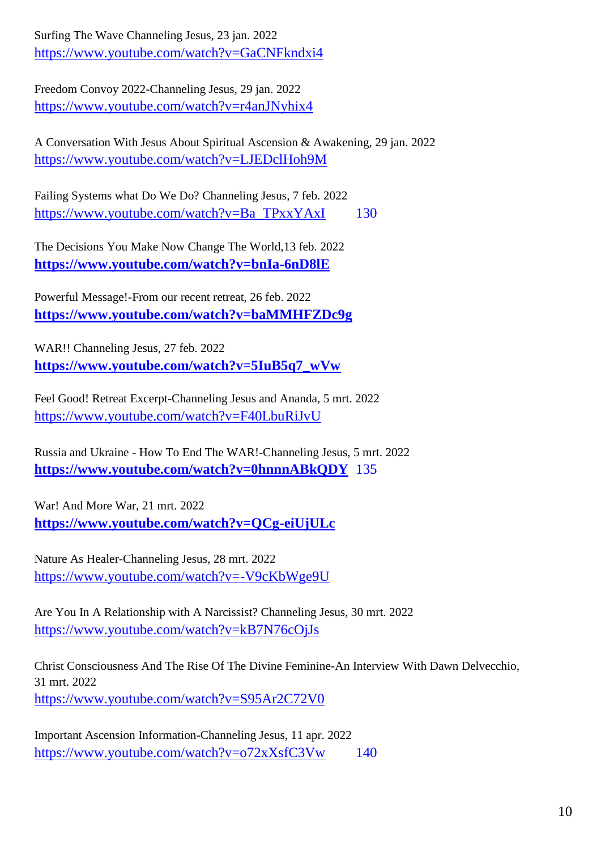Surfing The Wave Channeling Jesus, 23 jan. 2022 <https://www.youtube.com/watch?v=GaCNFkndxi4>

Freedom Convoy 2022-Channeling Jesus, 29 jan. 2022 <https://www.youtube.com/watch?v=r4anJNyhix4>

A Conversation With Jesus About Spiritual Ascension & Awakening, 29 jan. 2022 <https://www.youtube.com/watch?v=LJEDclHoh9M>

Failing Systems what Do We Do? Channeling Jesus, 7 feb. 2022 [https://www.youtube.com/watch?v=Ba\\_TPxxYAxI](https://www.youtube.com/watch?v=Ba_TPxxYAxI) 130

The Decisions You Make Now Change The World,13 feb. 2022 **<https://www.youtube.com/watch?v=bnIa-6nD8lE>**

Powerful Message!-From our recent retreat, 26 feb. 2022 **<https://www.youtube.com/watch?v=baMMHFZDc9g>**

WAR!! Channeling Jesus, 27 feb. 2022 **[https://www.youtube.com/watch?v=5IuB5q7\\_wVw](https://www.youtube.com/watch?v=5IuB5q7_wVw)**

Feel Good! Retreat Excerpt-Channeling Jesus and Ananda, 5 mrt. 2022 <https://www.youtube.com/watch?v=F40LbuRiJvU>

Russia and Ukraine - How To End The WAR!-Channeling Jesus, 5 mrt. 2022 **<https://www.youtube.com/watch?v=0hnnnABkQDY>** 135

War! And More War, 21 mrt. 2022 **<https://www.youtube.com/watch?v=QCg-eiUjULc>**

Nature As Healer-Channeling Jesus, 28 mrt. 2022 <https://www.youtube.com/watch?v=-V9cKbWge9U>

Are You In A Relationship with A Narcissist? Channeling Jesus, 30 mrt. 2022 <https://www.youtube.com/watch?v=kB7N76cOjJs>

Christ Consciousness And The Rise Of The Divine Feminine-An Interview With Dawn Delvecchio, 31 mrt. 2022 <https://www.youtube.com/watch?v=S95Ar2C72V0>

Important Ascension Information-Channeling Jesus, 11 apr. 2022 <https://www.youtube.com/watch?v=o72xXsfC3Vw> 140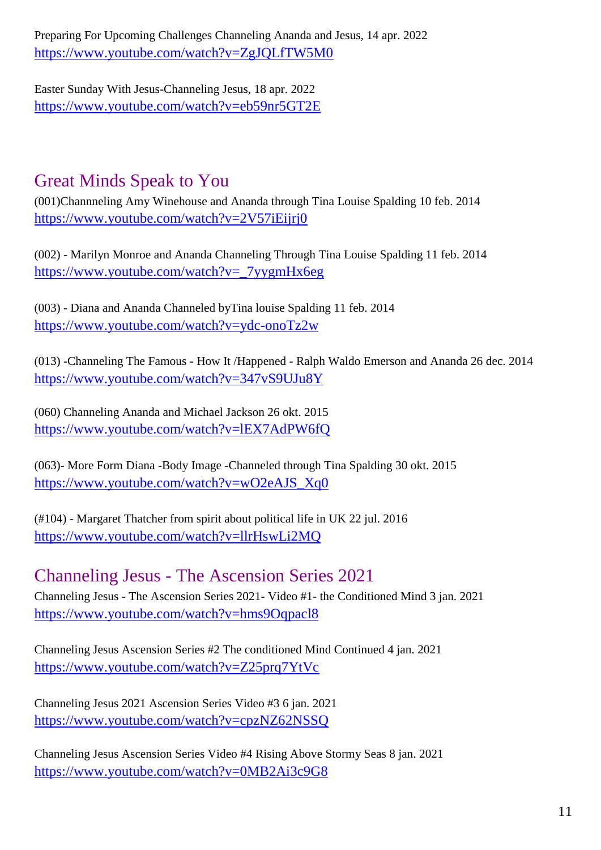Preparing For Upcoming Challenges Channeling Ananda and Jesus, 14 apr. 2022 <https://www.youtube.com/watch?v=ZgJQLfTW5M0>

Easter Sunday With Jesus-Channeling Jesus, 18 apr. 2022 <https://www.youtube.com/watch?v=eb59nr5GT2E>

## Great Minds Speak to You

(001)Channneling Amy Winehouse and Ananda through Tina Louise Spalding 10 feb. 2014 <https://www.youtube.com/watch?v=2V57iEijrj0>

(002) - Marilyn Monroe and Ananda Channeling Through Tina Louise Spalding 11 feb. 2014 [https://www.youtube.com/watch?v=\\_7yygmHx6eg](https://www.youtube.com/watch?v=_7yygmHx6eg)

(003) - Diana and Ananda Channeled byTina louise Spalding 11 feb. 2014 <https://www.youtube.com/watch?v=ydc-onoTz2w>

(013) -Channeling The Famous - How It /Happened - Ralph Waldo Emerson and Ananda 26 dec. 2014 <https://www.youtube.com/watch?v=347vS9UJu8Y>

(060) Channeling Ananda and Michael Jackson 26 okt. 2015 <https://www.youtube.com/watch?v=lEX7AdPW6fQ>

(063)- More Form Diana -Body Image -Channeled through Tina Spalding 30 okt. 2015 [https://www.youtube.com/watch?v=wO2eAJS\\_Xq0](https://www.youtube.com/watch?v=wO2eAJS_Xq0)

(#104) - Margaret Thatcher from spirit about political life in UK 22 jul. 2016 <https://www.youtube.com/watch?v=llrHswLi2MQ>

### Channeling Jesus - The Ascension Series 2021

Channeling Jesus - The Ascension Series 2021- Video #1- the Conditioned Mind 3 jan. 2021 <https://www.youtube.com/watch?v=hms9Oqpacl8>

Channeling Jesus Ascension Series #2 The conditioned Mind Continued 4 jan. 2021 <https://www.youtube.com/watch?v=Z25prq7YtVc>

Channeling Jesus 2021 Ascension Series Video #3 6 jan. 2021 <https://www.youtube.com/watch?v=cpzNZ62NSSQ>

Channeling Jesus Ascension Series Video #4 Rising Above Stormy Seas 8 jan. 2021 <https://www.youtube.com/watch?v=0MB2Ai3c9G8>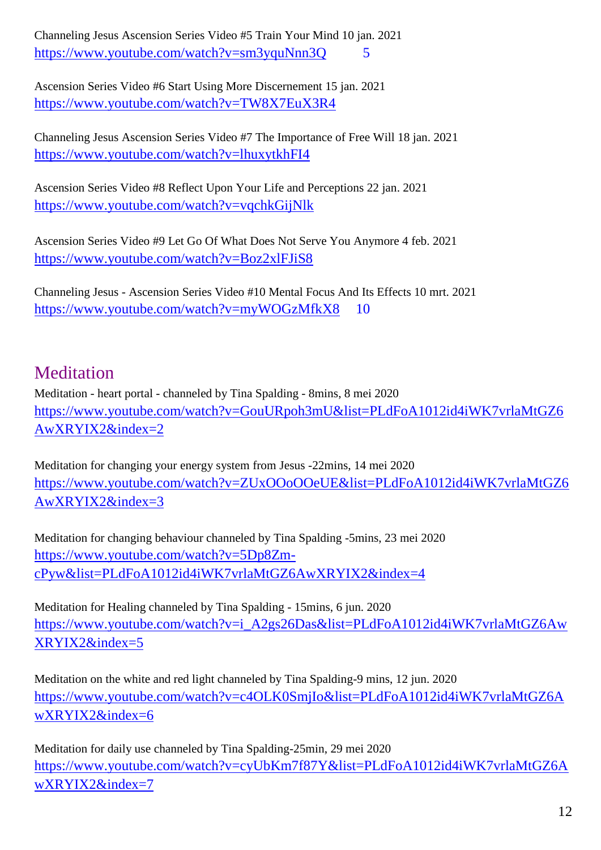Channeling Jesus Ascension Series Video #5 Train Your Mind 10 jan. 2021 https://www.youtube.com/watch?v=sm3yquNnn3O 5

Ascension Series Video #6 Start Using More Discernement 15 jan. 2021 <https://www.youtube.com/watch?v=TW8X7EuX3R4>

Channeling Jesus Ascension Series Video #7 The Importance of Free Will 18 jan. 2021 <https://www.youtube.com/watch?v=lhuxytkhFI4>

Ascension Series Video #8 Reflect Upon Your Life and Perceptions 22 jan. 2021 <https://www.youtube.com/watch?v=vqchkGijNlk>

Ascension Series Video #9 Let Go Of What Does Not Serve You Anymore 4 feb. 2021 <https://www.youtube.com/watch?v=Boz2xlFJiS8>

Channeling Jesus - Ascension Series Video #10 Mental Focus And Its Effects 10 mrt. 2021 <https://www.youtube.com/watch?v=myWOGzMfkX8> 10

## Meditation

Meditation - heart portal - channeled by Tina Spalding - 8mins, 8 mei 2020 [https://www.youtube.com/watch?v=GouURpoh3mU&list=PLdFoA1012id4iWK7vrlaMtGZ6](https://www.youtube.com/watch?v=GouURpoh3mU&list=PLdFoA1012id4iWK7vrlaMtGZ6AwXRYIX2&index=2) [AwXRYIX2&index=2](https://www.youtube.com/watch?v=GouURpoh3mU&list=PLdFoA1012id4iWK7vrlaMtGZ6AwXRYIX2&index=2)

Meditation for changing your energy system from Jesus -22mins, 14 mei 2020 [https://www.youtube.com/watch?v=ZUxOOoOOeUE&list=PLdFoA1012id4iWK7vrlaMtGZ6](https://www.youtube.com/watch?v=ZUxOOoOOeUE&list=PLdFoA1012id4iWK7vrlaMtGZ6AwXRYIX2&index=3) [AwXRYIX2&index=3](https://www.youtube.com/watch?v=ZUxOOoOOeUE&list=PLdFoA1012id4iWK7vrlaMtGZ6AwXRYIX2&index=3)

Meditation for changing behaviour channeled by Tina Spalding -5mins, 23 mei 2020 [https://www.youtube.com/watch?v=5Dp8Zm](https://www.youtube.com/watch?v=5Dp8Zm-cPyw&list=PLdFoA1012id4iWK7vrlaMtGZ6AwXRYIX2&index=4)[cPyw&list=PLdFoA1012id4iWK7vrlaMtGZ6AwXRYIX2&index=4](https://www.youtube.com/watch?v=5Dp8Zm-cPyw&list=PLdFoA1012id4iWK7vrlaMtGZ6AwXRYIX2&index=4)

Meditation for Healing channeled by Tina Spalding - 15mins, 6 jun. 2020 [https://www.youtube.com/watch?v=i\\_A2gs26Das&list=PLdFoA1012id4iWK7vrlaMtGZ6Aw](https://www.youtube.com/watch?v=i_A2gs26Das&list=PLdFoA1012id4iWK7vrlaMtGZ6AwXRYIX2&index=5) [XRYIX2&index=5](https://www.youtube.com/watch?v=i_A2gs26Das&list=PLdFoA1012id4iWK7vrlaMtGZ6AwXRYIX2&index=5)

Meditation on the white and red light channeled by Tina Spalding-9 mins, 12 jun. 2020 [https://www.youtube.com/watch?v=c4OLK0SmjIo&list=PLdFoA1012id4iWK7vrlaMtGZ6A](https://www.youtube.com/watch?v=c4OLK0SmjIo&list=PLdFoA1012id4iWK7vrlaMtGZ6AwXRYIX2&index=6) [wXRYIX2&index=6](https://www.youtube.com/watch?v=c4OLK0SmjIo&list=PLdFoA1012id4iWK7vrlaMtGZ6AwXRYIX2&index=6)

Meditation for daily use channeled by Tina Spalding-25min, 29 mei 2020 [https://www.youtube.com/watch?v=cyUbKm7f87Y&list=PLdFoA1012id4iWK7vrlaMtGZ6A](https://www.youtube.com/watch?v=cyUbKm7f87Y&list=PLdFoA1012id4iWK7vrlaMtGZ6AwXRYIX2&index=7) [wXRYIX2&index=7](https://www.youtube.com/watch?v=cyUbKm7f87Y&list=PLdFoA1012id4iWK7vrlaMtGZ6AwXRYIX2&index=7)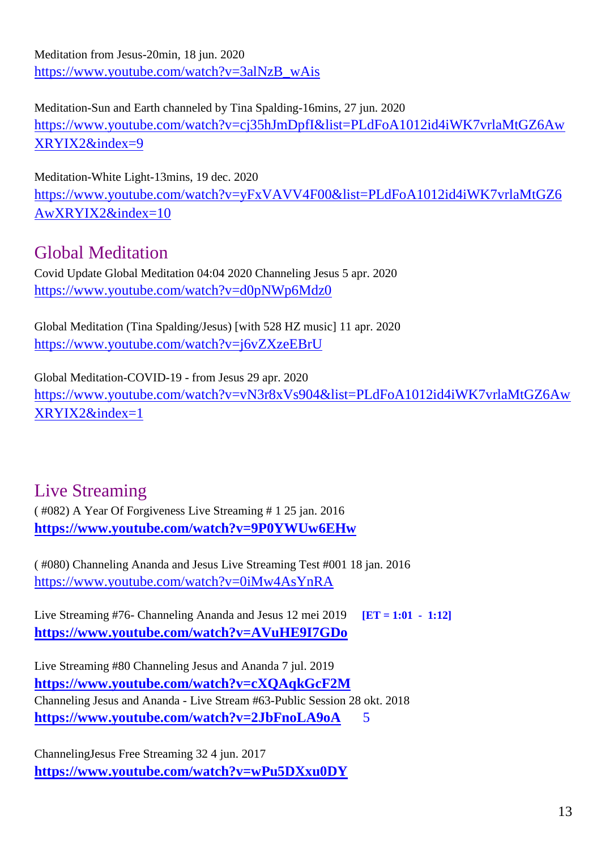Meditation from Jesus-20min, 18 jun. 2020 [https://www.youtube.com/watch?v=3alNzB\\_wAis](https://www.youtube.com/watch?v=3alNzB_wAis)

Meditation-Sun and Earth channeled by Tina Spalding-16mins, 27 jun. 2020 [https://www.youtube.com/watch?v=cj35hJmDpfI&list=PLdFoA1012id4iWK7vrlaMtGZ6Aw](https://www.youtube.com/watch?v=cj35hJmDpfI&list=PLdFoA1012id4iWK7vrlaMtGZ6AwXRYIX2&index=9) [XRYIX2&index=9](https://www.youtube.com/watch?v=cj35hJmDpfI&list=PLdFoA1012id4iWK7vrlaMtGZ6AwXRYIX2&index=9)

Meditation-White Light-13mins, 19 dec. 2020 [https://www.youtube.com/watch?v=yFxVAVV4F00&list=PLdFoA1012id4iWK7vrlaMtGZ6](https://www.youtube.com/watch?v=yFxVAVV4F00&list=PLdFoA1012id4iWK7vrlaMtGZ6AwXRYIX2&index=10) [AwXRYIX2&index=10](https://www.youtube.com/watch?v=yFxVAVV4F00&list=PLdFoA1012id4iWK7vrlaMtGZ6AwXRYIX2&index=10)

## Global Meditation

Covid Update Global Meditation 04:04 2020 Channeling Jesus 5 apr. 2020 <https://www.youtube.com/watch?v=d0pNWp6Mdz0>

Global Meditation (Tina Spalding/Jesus) [with 528 HZ music] 11 apr. 2020 <https://www.youtube.com/watch?v=j6vZXzeEBrU>

Global Meditation-COVID-19 - from Jesus 29 apr. 2020 [https://www.youtube.com/watch?v=vN3r8xVs904&list=PLdFoA1012id4iWK7vrlaMtGZ6Aw](https://www.youtube.com/watch?v=vN3r8xVs904&list=PLdFoA1012id4iWK7vrlaMtGZ6AwXRYIX2&index=1) [XRYIX2&index=1](https://www.youtube.com/watch?v=vN3r8xVs904&list=PLdFoA1012id4iWK7vrlaMtGZ6AwXRYIX2&index=1)

### Live Streaming

( #082) A Year Of Forgiveness Live Streaming # 1 25 jan. 2016 **<https://www.youtube.com/watch?v=9P0YWUw6EHw>**

( #080) Channeling Ananda and Jesus Live Streaming Test #001 18 jan. 2016 <https://www.youtube.com/watch?v=0iMw4AsYnRA>

Live Streaming #76- Channeling Ananda and Jesus 12 mei 2019 **[ET = 1:01 - 1:12] <https://www.youtube.com/watch?v=AVuHE9I7GDo>**

Live Streaming #80 Channeling Jesus and Ananda 7 jul. 2019 **<https://www.youtube.com/watch?v=cXQAqkGcF2M>** Channeling Jesus and Ananda - Live Stream #63-Public Session 28 okt. 2018 **<https://www.youtube.com/watch?v=2JbFnoLA9oA>** 5

ChannelingJesus Free Streaming 32 4 jun. 2017 **<https://www.youtube.com/watch?v=wPu5DXxu0DY>**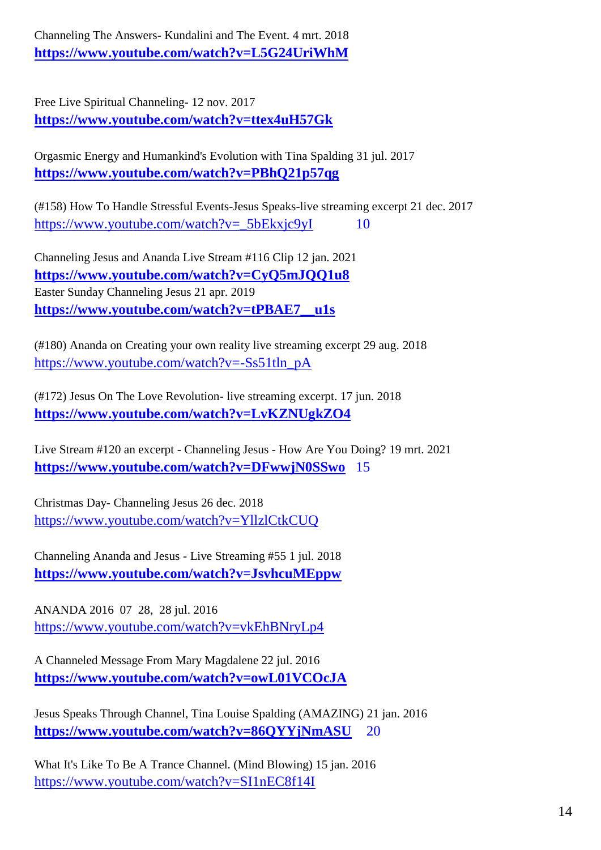Channeling The Answers- Kundalini and The Event. 4 mrt. 2018 **<https://www.youtube.com/watch?v=L5G24UriWhM>**

Free Live Spiritual Channeling- 12 nov. 2017 **<https://www.youtube.com/watch?v=ttex4uH57Gk>**

Orgasmic Energy and Humankind's Evolution with Tina Spalding 31 jul. 2017 **<https://www.youtube.com/watch?v=PBhQ21p57qg>**

(#158) How To Handle Stressful Events-Jesus Speaks-live streaming excerpt 21 dec. 2017 [https://www.youtube.com/watch?v=\\_5bEkxjc9yI](https://www.youtube.com/watch?v=_5bEkxjc9yI) 10

Channeling Jesus and Ananda Live Stream #116 Clip 12 jan. 2021 **<https://www.youtube.com/watch?v=CyQ5mJQQ1u8>** Easter Sunday Channeling Jesus 21 apr. 2019 **[https://www.youtube.com/watch?v=tPBAE7\\_\\_u1s](https://www.youtube.com/watch?v=tPBAE7__u1s)**

(#180) Ananda on Creating your own reality live streaming excerpt 29 aug. 2018 [https://www.youtube.com/watch?v=-Ss51tln\\_pA](https://www.youtube.com/watch?v=-Ss51tln_pA)

(#172) Jesus On The Love Revolution- live streaming excerpt. 17 jun. 2018 **<https://www.youtube.com/watch?v=LvKZNUgkZO4>**

Live Stream #120 an excerpt - Channeling Jesus - How Are You Doing? 19 mrt. 2021 **<https://www.youtube.com/watch?v=DFwwjN0SSwo>** 15

Christmas Day- Channeling Jesus 26 dec. 2018 <https://www.youtube.com/watch?v=YllzlCtkCUQ>

Channeling Ananda and Jesus - Live Streaming #55 1 jul. 2018 **<https://www.youtube.com/watch?v=JsvhcuMEppw>**

ANANDA 2016 07 28, 28 jul. 2016 <https://www.youtube.com/watch?v=vkEhBNryLp4>

A Channeled Message From Mary Magdalene 22 jul. 2016 **<https://www.youtube.com/watch?v=owL01VCOcJA>**

Jesus Speaks Through Channel, Tina Louise Spalding (AMAZING) 21 jan. 2016 **<https://www.youtube.com/watch?v=86QYYjNmASU>** 20

What It's Like To Be A Trance Channel. (Mind Blowing) 15 jan. 2016 <https://www.youtube.com/watch?v=SI1nEC8f14I>